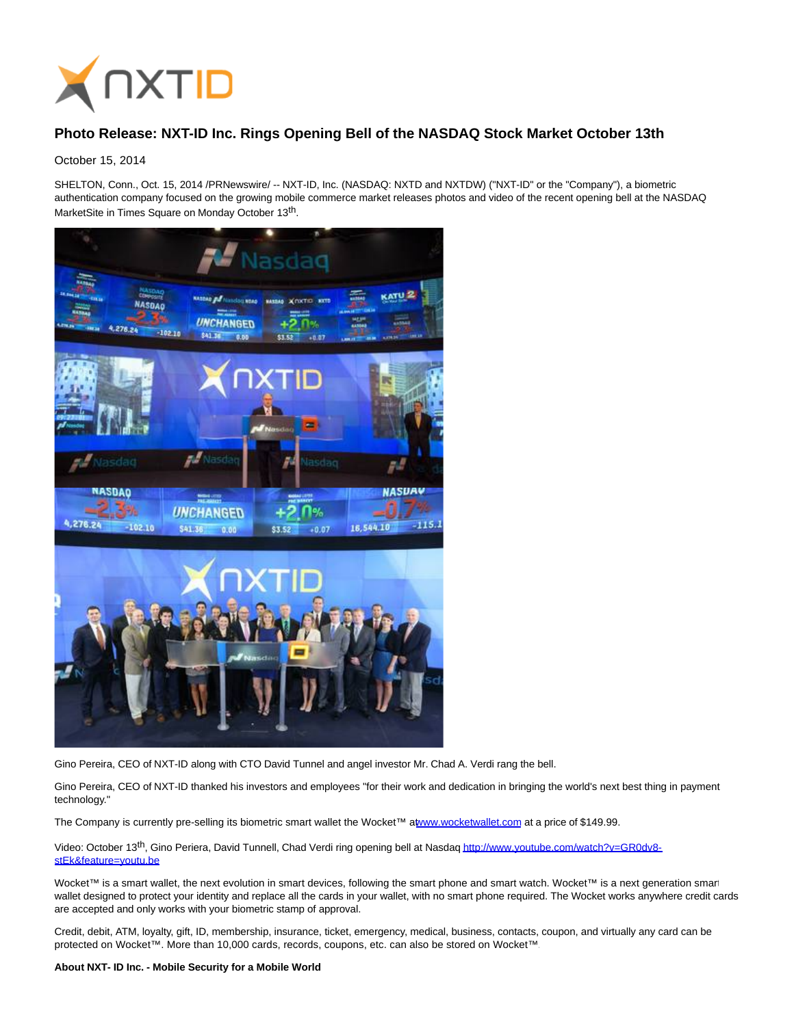

## **Photo Release: NXT-ID Inc. Rings Opening Bell of the NASDAQ Stock Market October 13th**

October 15, 2014

SHELTON, Conn., Oct. 15, 2014 /PRNewswire/ -- NXT-ID, Inc. (NASDAQ: NXTD and NXTDW) ("NXT-ID" or the "Company"), a biometric authentication company focused on the growing mobile commerce market releases photos and video of the recent opening bell at the NASDAQ MarketSite in Times Square on Monday October 13<sup>th</sup>.



Gino Pereira, CEO of NXT-ID along with CTO David Tunnel and angel investor Mr. Chad A. Verdi rang the bell.

Gino Pereira, CEO of NXT-ID thanked his investors and employees "for their work and dedication in bringing the world's next best thing in payment technology."

The Company is currently pre-selling its biometric smart wallet the Wocket™ [at www.wocketwallet.com a](http://www.wocketwallet.com/)t a price of \$149.99.

Video: October 13<sup>th</sup>, Gino Periera, David Tunnell, Chad Verdi ring opening bell at Nasda[q http://www.youtube.com/watch?v=GR0dv8](http://www.youtube.com/watch?v=GR0dv8-stEk&feature=youtu.be) stEk&feature=youtu.be

Wocket™ is a smart wallet, the next evolution in smart devices, following the smart phone and smart watch. Wocket™ is a next generation smart wallet designed to protect your identity and replace all the cards in your wallet, with no smart phone required. The Wocket works anywhere credit cards are accepted and only works with your biometric stamp of approval.

Credit, debit, ATM, loyalty, gift, ID, membership, insurance, ticket, emergency, medical, business, contacts, coupon, and virtually any card can be protected on Wocket™. More than 10,000 cards, records, coupons, etc. can also be stored on Wocket™.

## **About NXT- ID Inc. - Mobile Security for a Mobile World**